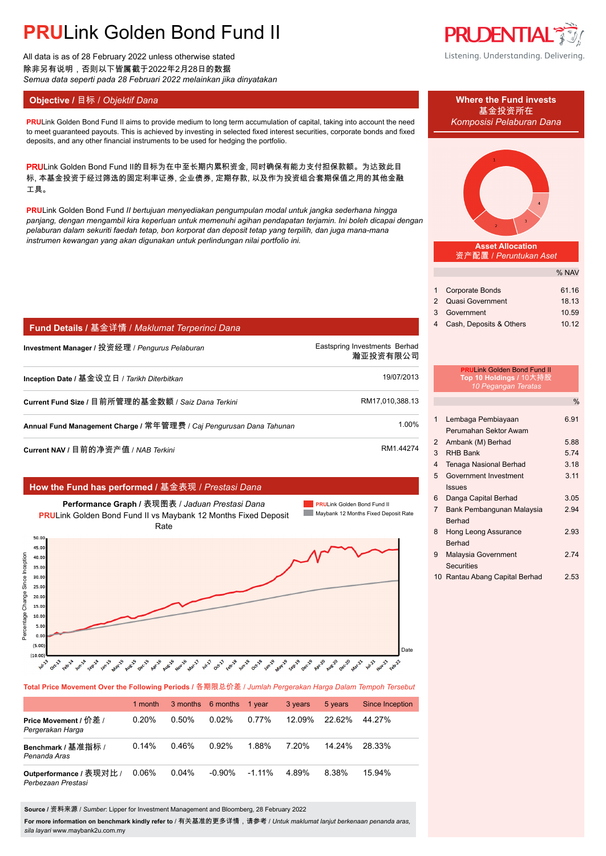# **PRU**Link Golden Bond Fund II

All data is as of 28 February 2022 unless otherwise stated 除非另有说明,否则以下皆属截于2022年2月28日的数据 *Semua data seperti pada 28 Februari 2022 melainkan jika dinyatakan*

### **Objective / 目标 /** *Objektif Dana* **Where the Fund invests</u>**

**PRU**Link Golden Bond Fund II aims to provide medium to long term accumulation of capital, taking into account the need *Komposisi Pelaburan Dana* to meet guaranteed payouts. This is achieved by investing in selected fixed interest securities, corporate bonds and fixed deposits, and any other financial instruments to be used for hedging the portfolio.

PRULink Golden Bond Fund II的目标为在中至长期内累积资金, 同时确保有能力支付担保款额。为达致此目 标, 本基金投资于经过筛选的固定利率证券, 企业债券, 定期存款, 以及作为投资组合套期保值之用的其他金融 工具。

**PRU**Link Golden Bond Fund *II bertujuan menyediakan pengumpulan modal untuk jangka sederhana hingga panjang, dengan mengambil kira keperluan untuk memenuhi agihan pendapatan terjamin. Ini boleh dicapai dengan pelaburan dalam sekuriti faedah tetap, bon korporat dan deposit tetap yang terpilih, dan juga mana-mana instrumen kewangan yang akan digunakan untuk perlindungan nilai portfolio ini.*

| Fund Details / 基金详情 / Maklumat Terperinci Dana        |                                           |
|-------------------------------------------------------|-------------------------------------------|
| Investment Manager / 投资经理 / <i>Penqurus Pelaburan</i> | Eastspring Investments Berhad<br>瀚亚投资有限公司 |
| Inception Date / 基金设立日 / <i>Tarikh Diterbitkan</i>    | 19/07/2013                                |
| Current Fund Size / 目前所管理的基金数额 / Saiz Dana Terkini    | RM17,010,388.13                           |
|                                                       |                                           |

**Annual Fund Management Charge /** 常年管理费 / *Caj Pengurusan Dana Tahunan* 1.00%.

**Current NAV /** 目前的净资产值 / *NAB Terkini* RM1.44274

### **How the Fund has performed /** 基金表现 / *Prestasi Dana*



**Total Price Movement Over the Following Periods /** 各期限总价差 / *Jumlah Pergerakan Harga Dalam Tempoh Tersebut*

|                                               | 1 month |          | 3 months 6 months | 1 year    | 3 years | 5 years | <b>Since Inception</b> |
|-----------------------------------------------|---------|----------|-------------------|-----------|---------|---------|------------------------|
| Price Movement / 价差 /<br>Pergerakan Harga     | 0.20%   | $0.50\%$ | 0.02%             | 0.77%     | 12.09%  | 2262%   | 44 27%                 |
| Benchmark / 基准指标 /<br>Penanda Aras            | 0.14%   | 0.46%    | 0.92%             | 1.88%     | 7.20%   | 14 24%  | 28.33%                 |
| Outperformance / 表现对比 /<br>Perbezaan Prestasi | 0.06%   | 0.04%    | $-0.90\%$         | $-1.11\%$ | 4 89%   | 8.38%   | 15.94%                 |

**Source /** 资料来源 / *Sumber*: Lipper for Investment Management and Bloomberg, 28 February 2022

**For more information on benchmark kindly refer to** / 有关基准的更多详情,请参考 / *Untuk maklumat lanjut berkenaan penanda aras, sila layari* www.maybank2u.com.my



Listening. Understanding. Delivering.





**Asset Allocation** 资产配置 / *Peruntukan Aset*

|                           | % NAV |
|---------------------------|-------|
|                           |       |
| 1 Corporate Bonds         | 61.16 |
| 2 Quasi Government        | 18.13 |
| 3 Government              | 10.59 |
| 4 Cash, Deposits & Others | 10.12 |

### **PRU**Link Golden Bond Fund II **Top 10 Holdings /** 10大持股 *10 Pegangan Teratas*

|                |                                | $\%$ |
|----------------|--------------------------------|------|
| 1              | Lembaga Pembiayaan             | 6.91 |
|                | Perumahan Sektor Awam          |      |
| 2              | Ambank (M) Berhad              | 5.88 |
| 3              | <b>RHB Bank</b>                | 5.74 |
| 4              | <b>Tenaga Nasional Berhad</b>  | 3.18 |
| 5              | Government Investment          | 3.11 |
|                | Issues                         |      |
| 6              | Danga Capital Berhad           | 3.05 |
| $\overline{7}$ | Bank Pembangunan Malaysia      | 2.94 |
|                | <b>Berhad</b>                  |      |
| 8              | <b>Hong Leong Assurance</b>    | 2.93 |
|                | Berhad                         |      |
| 9              | Malaysia Government            | 274  |
|                | Securities                     |      |
|                | 10 Rantau Abang Capital Berhad | 2.53 |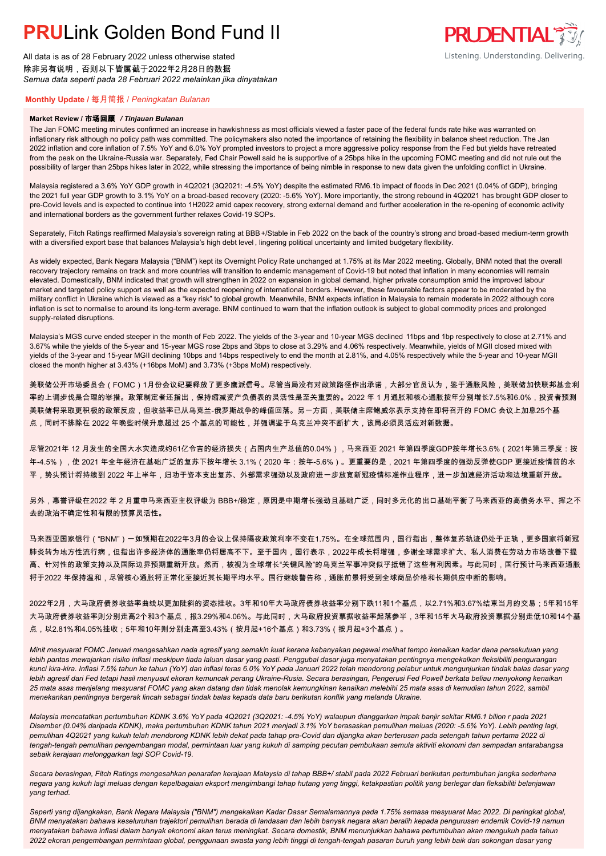## **PRUL** ink Golden Bond Fund II

All data is as of 28 February 2022 unless otherwise stated 除非另有说明,否则以下皆属截于2022年2月28日的数据 *Semua data seperti pada 28 Februari 2022 melainkan jika dinyatakan*

### **PRUDENTIAL** Listening. Understanding. Delivering.

### **Monthly Update /** 每月简报 / *Peningkatan Bulanan*

#### **Market Review /** 市场回顾 */ Tinjauan Bulanan*

The Jan FOMC meeting minutes confirmed an increase in hawkishness as most officials viewed a faster pace of the federal funds rate hike was warranted on inflationary risk although no policy path was committed. The policymakers also noted the importance of retaining the flexibility in balance sheet reduction. The Jan 2022 inflation and core inflation of 7.5% YoY and 6.0% YoY prompted investors to project a more aggressive policy response from the Fed but yields have retreated from the peak on the Ukraine-Russia war. Separately, Fed Chair Powell said he is supportive of a 25bps hike in the upcoming FOMC meeting and did not rule out the possibility of larger than 25bps hikes later in 2022, while stressing the importance of being nimble in response to new data given the unfolding conflict in Ukraine.

Malaysia registered a 3.6% YoY GDP growth in 4Q2021 (3Q2021: -4.5% YoY) despite the estimated RM6.1b impact of floods in Dec 2021 (0.04% of GDP), bringing the 2021 full year GDP growth to 3.1% YoY on a broad-based recovery (2020: -5.6% YoY). More importantly, the strong rebound in 4Q2021 has brought GDP closer to pre-Covid levels and is expected to continue into 1H2022 amid capex recovery, strong external demand and further acceleration in the re-opening of economic activity and international borders as the government further relaxes Covid-19 SOPs.

Separately, Fitch Ratings reaffirmed Malaysia's sovereign rating at BBB+/Stable in Feb 2022 on the back of the country's strong and broad-based medium-term growth with a diversified export base that balances Malaysia's high debt level , lingering political uncertainty and limited budgetary flexibility.

As widely expected, Bank Negara Malaysia ("BNM") kept its Overnight Policy Rate unchanged at 1.75% at its Mar 2022 meeting. Globally, BNM noted that the overall recovery trajectory remains on track and more countries will transition to endemic management of Covid-19 but noted that inflation in many economies will remain elevated. Domestically, BNM indicated that growth will strengthen in 2022 on expansion in global demand, higher private consumption amid the improved labour market and targeted policy support as well as the expected reopening of international borders. However, these favourable factors appear to be moderated by the military conflict in Ukraine which is viewed as a "key risk" to global growth. Meanwhile, BNM expects inflation in Malaysia to remain moderate in 2022 although core inflation is set to normalise to around its long-term average. BNM continued to warn that the inflation outlook is subject to global commodity prices and prolonged supply-related disruptions.

Malaysia's MGS curve ended steeper in the month of Feb 2022. The yields of the 3-year and 10-year MGS declined 11bps and 1bp respectively to close at 2.71% and 3.67% while the yields of the 5-year and 15-year MGS rose 2bps and 3bps to close at 3.29% and 4.06% respectively. Meanwhile, yields of MGII closed mixed with yields of the 3-year and 15-year MGII declining 10bps and 14bps respectively to end the month at 2.81%, and 4.05% respectively while the 5-year and 10-year MGII closed the month higher at 3.43% (+16bps MoM) and 3.73% (+3bps MoM) respectively.

美联储公开市场委员会(FOMC)1月份会议纪要释放了更多鹰派信号。尽管当局没有对政策路径作出承诺,大部分官员认为,鉴于通胀风险,美联储加快联邦基金利 率的上调步伐是合理的举措。政策制定者还指出,保持缩减资产负债表的灵活性是至关重要的。2022 年 1 月通胀和核心通胀按年分别增长7.5%和6.0%,投资者预测 美联储将采取更积极的政策反应,但收益率已从乌克兰-俄罗斯战争的峰值回落。另一方面,美联储主席鲍威尔表示支持在即将召开的 FOMC 会议上加息25个基 点,同时不排除在 2022 年晚些时候升息超过 25 个基点的可能性,并强调鉴于乌克兰冲突不断扩大,该局必须灵活应对新数据。

尽管2021年 12 月发生的全国大水灾造成约61亿令吉的经济损失(占国内生产总值的0.04%),马来西亚 2021 年第四季度GDP按年增长3.6%(2021年第三季度:按 年-4.5%),使 2021 年全年经济在基础广泛的复苏下按年增长 3.1%(2020 年:按年-5.6%)。更重要的是,2021 年第四季度的强劲反弹使GDP 更接近疫情前的水 平,势头预计将持续到 2022 年上半年,归功于资本支出复苏、外部需求强劲以及政府进一步放宽新冠疫情标准作业程序,进一步加速经济活动和边境重新开放。

另外,惠誉评级在2022 年 2 月重申马来西亚主权评级为 BBB+/稳定,原因是中期增长强劲且基础广泛,同时多元化的出口基础平衡了马来西亚的高债务水平、挥之不 去的政治不确定性和有限的预算灵活性。

马来西亚国家银行("BNM")一如预期在2022年3月的会议上保持隔夜政策利率不变在1.75%。在全球范围内,国行指出,整体复苏轨迹仍处于正轨,更多国家将新冠 肺炎转为地方性流行病,但指出许多经济体的通胀率仍将居高不下。至于国内,国行表示,2022年成长将增强,多谢全球需求扩大、私人消费在劳动力市场改善下提 高、针对性的政策支持以及国际边界预期重新开放。然而,被视为全球增长"关键风险"的乌克兰军事冲突似乎抵销了这些有利因素。与此同时,国行预计马来西亚通胀 将于2022 年保持温和,尽管核心通胀将正常化至接近其长期平均水平。国行继续警告称,通胀前景将受到全球商品价格和长期供应中断的影响。

2022年2月,大马政府债券收益率曲线以更加陡斜的姿态挂收。3年和10年大马政府债券收益率分别下跌11和1个基点,以2.71%和3.67%结束当月的交易;5年和15年 大马政府债券收益率则分别走高2个和3个基点,报3.29%和4.06%。与此同时,大马政府投资票据收益率起落参半,3年和15年大马政府投资票据分别走低10和14个基 点,以2.81%和4.05%挂收;5年和10年则分别走高至3.43%(按月起+16个基点)和3.73%(按月起+3个基点)。

*Minit mesyuarat FOMC Januari mengesahkan nada agresif yang semakin kuat kerana kebanyakan pegawai melihat tempo kenaikan kadar dana persekutuan yang lebih pantas mewajarkan risiko inflasi meskipun tiada laluan dasar yang pasti. Penggubal dasar juga menyatakan pentingnya mengekalkan fleksibiliti pengurangan kunci kira-kira. Inflasi 7.5% tahun ke tahun (YoY) dan inflasi teras 6.0% YoY pada Januari 2022 telah mendorong pelabur untuk mengunjurkan tindak balas dasar yang*  lebih agresif dari Fed tetapi hasil menyusut ekoran kemuncak perang Ukraine-Rusia. Secara berasingan, Pengerusi Fed Powell berkata beliau menyokong kenaikan *25 mata asas menjelang mesyuarat FOMC yang akan datang dan tidak menolak kemungkinan kenaikan melebihi 25 mata asas di kemudian tahun 2022, sambil menekankan pentingnya bergerak lincah sebagai tindak balas kepada data baru berikutan konflik yang melanda Ukraine.*

*Malaysia mencatatkan pertumbuhan KDNK 3.6% YoY pada 4Q2021 (3Q2021: -4.5% YoY) walaupun dianggarkan impak banjir sekitar RM6.1 bilion r pada 2021 Disember (0.04% daripada KDNK), maka pertumbuhan KDNK tahun 2021 menjadi 3.1% YoY berasaskan pemulihan meluas (2020: -5.6% YoY). Lebih penting lagi, pemulihan 4Q2021 yang kukuh telah mendorong KDNK lebih dekat pada tahap pra-Covid dan dijangka akan berterusan pada setengah tahun pertama 2022 di tengah-tengah pemulihan pengembangan modal, permintaan luar yang kukuh di samping pecutan pembukaan semula aktiviti ekonomi dan sempadan antarabangsa sebaik kerajaan melonggarkan lagi SOP Covid-19.*

*Secara berasingan, Fitch Ratings mengesahkan penarafan kerajaan Malaysia di tahap BBB+/ stabil pada 2022 Februari berikutan pertumbuhan jangka sederhana negara yang kukuh lagi meluas dengan kepelbagaian eksport mengimbangi tahap hutang yang tinggi, ketakpastian politik yang berlegar dan fleksibiliti belanjawan yang terhad.*

*Seperti yang dijangkakan, Bank Negara Malaysia ("BNM") mengekalkan Kadar Dasar Semalamannya pada 1.75% semasa mesyuarat Mac 2022. Di peringkat global, BNM menyatakan bahawa keseluruhan trajektori pemulihan berada di landasan dan lebih banyak negara akan beralih kepada pengurusan endemik Covid-19 namun menyatakan bahawa inflasi dalam banyak ekonomi akan terus meningkat. Secara domestik, BNM menunjukkan bahawa pertumbuhan akan mengukuh pada tahun 2022 ekoran pengembangan permintaan global, penggunaan swasta yang lebih tinggi di tengah-tengah pasaran buruh yang lebih baik dan sokongan dasar yang*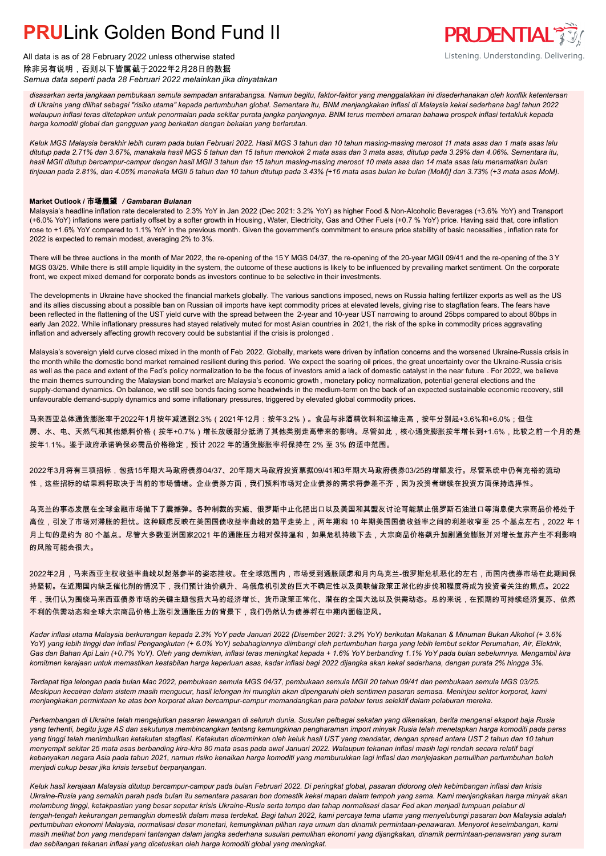### **PRUL** ink Golden Bond Fund II



All data is as of 28 February 2022 unless otherwise stated 除非另有说明,否则以下皆属截于2022年2月28日的数据 *Semua data seperti pada 28 Februari 2022 melainkan jika dinyatakan*

*disasarkan serta jangkaan pembukaan semula sempadan antarabangsa. Namun begitu, faktor-faktor yang menggalakkan ini disederhanakan oleh konflik ketenteraan di Ukraine yang dilihat sebagai "risiko utama" kepada pertumbuhan global. Sementara itu, BNM menjangkakan inflasi di Malaysia kekal sederhana bagi tahun 2022 walaupun inflasi teras ditetapkan untuk penormalan pada sekitar purata jangka panjangnya. BNM terus memberi amaran bahawa prospek inflasi tertakluk kepada harga komoditi global dan gangguan yang berkaitan dengan bekalan yang berlarutan.*

*Keluk MGS Malaysia berakhir lebih curam pada bulan Februari 2022. Hasil MGS 3 tahun dan 10 tahun masing-masing merosot 11 mata asas dan 1 mata asas lalu ditutup pada 2.71% dan 3.67%, manakala hasil MGS 5 tahun dan 15 tahun menokok 2 mata asas dan 3 mata asas, ditutup pada 3.29% dan 4.06%. Sementara itu, hasil MGII ditutup bercampur-campur dengan hasil MGII 3 tahun dan 15 tahun masing-masing merosot 10 mata asas dan 14 mata asas lalu menamatkan bulan tinjauan pada 2.81%, dan 4.05% manakala MGII 5 tahun dan 10 tahun ditutup pada 3.43% [+16 mata asas bulan ke bulan (MoM)] dan 3.73% (+3 mata asas MoM).*

### **Market Outlook /** 市场展望 */ Gambaran Bulanan*

Malaysia's headline inflation rate decelerated to 2.3% YoY in Jan 2022 (Dec 2021: 3.2% YoY) as higher Food & Non-Alcoholic Beverages (+3.6% YoY) and Transport (+6.0% YoY) inflations were partially offset by a softer growth in Housing , Water, Electricity, Gas and Other Fuels (+0.7 % YoY) price. Having said that, core inflation rose to +1.6% YoY compared to 1.1% YoY in the previous month. Given the government's commitment to ensure price stability of basic necessities , inflation rate for 2022 is expected to remain modest, averaging 2% to 3%.

There will be three auctions in the month of Mar 2022, the re-opening of the 15 Y MGS 04/37, the re-opening of the 20-year MGII 09/41 and the re-opening of the 3 Y MGS 03/25. While there is still ample liquidity in the system, the outcome of these auctions is likely to be influenced by prevailing market sentiment. On the corporate front, we expect mixed demand for corporate bonds as investors continue to be selective in their investments.

The developments in Ukraine have shocked the financial markets globally. The various sanctions imposed, news on Russia halting fertilizer exports as well as the US and its allies discussing about a possible ban on Russian oil imports have kept commodity prices at elevated levels, giving rise to stagflation fears. The fears have been reflected in the flattening of the UST yield curve with the spread between the 2-year and 10-year UST narrowing to around 25bps compared to about 80bps in early Jan 2022. While inflationary pressures had stayed relatively muted for most Asian countries in 2021, the risk of the spike in commodity prices aggravating inflation and adversely affecting growth recovery could be substantial if the crisis is prolonged .

Malaysia's sovereign yield curve closed mixed in the month of Feb 2022. Globally, markets were driven by inflation concerns and the worsened Ukraine-Russia crisis in the month while the domestic bond market remained resilient during this period. We expect the soaring oil prices, the great uncertainty over the Ukraine-Russia crisis as well as the pace and extent of the Fed's policy normalization to be the focus of investors amid a lack of domestic catalyst in the near future . For 2022, we believe the main themes surrounding the Malaysian bond market are Malaysia's economic growth , monetary policy normalization, potential general elections and the supply-demand dynamics. On balance, we still see bonds facing some headwinds in the medium-term on the back of an expected sustainable economic recovery, still unfavourable demand-supply dynamics and some inflationary pressures, triggered by elevated global commodity prices.

马来西亚总体通货膨胀率于2022年1月按年减速到2.3%(2021年12月:按年3.2%)。食品与非酒精饮料和运输走高,按年分别起+3.6%和+6.0%;但住 房、水、电、天然气和其他燃料价格(按年+0.7%)增长放缓部分抵消了其他类别走高带来的影响。尽管如此,核心通货膨胀按年增长到+1.6%,比较之前一个月的是 按年1.1%。鉴于政府承诺确保必需品价格稳定,预计 2022 年的通货膨胀率将保持在 2% 至 3% 的适中范围。

2022年3月将有三项招标,包括15年期大马政府债券04/37、20年期大马政府投资票据09/41和3年期大马政府债券03/25的增额发行。尽管系统中仍有充裕的流动 性,这些招标的结果料将取决于当前的市场情绪。企业债券方面,我们预料市场对企业债券的需求将参差不齐,因为投资者继续在投资方面保持选择性。

乌克兰的事态发展在全球金融市场抛下了震撼弹。各种制裁的实施、俄罗斯中止化肥出口以及美国和其盟友讨论可能禁止俄罗斯石油进口等消息使大宗商品价格处于 高位,引发了市场对滞胀的担忧。这种顾虑反映在美国国债收益率曲线的趋平走势上,两年期和 10 年期美国国债收益率之间的利差收窄至 25 个基点左右,2022 年 1 月上旬的是约为 80 个基点。尽管大多数亚洲国家2021 年的通胀压力相对保持温和,如果危机持续下去,大宗商品价格飙升加剧通货膨胀并对增长复苏产生不利影响 的风险可能会很大。

2022年2月,马来西亚主权收益率曲线以起落参半的姿态挂收。在全球范围内,市场受到通胀顾虑和月内乌克兰-俄罗斯危机恶化的左右,而国内债券市场在此期间保 持坚韧。在近期国内缺乏催化剂的情况下,我们预计油价飙升、乌俄危机引发的巨大不确定性以及美联储政策正常化的步伐和程度将成为投资者关注的焦点。2022 年,我们认为围绕马来西亚债券市场的关键主题包括大马的经济增长、货币政策正常化、潜在的全国大选以及供需动态。总的来说,在预期的可持续经济复苏、依然 不利的供需动态和全球大宗商品价格上涨引发通胀压力的背景下,我们仍然认为债券将在中期内面临逆风。

*Kadar inflasi utama Malaysia berkurangan kepada 2.3% YoY pada Januari 2022 (Disember 2021: 3.2% YoY) berikutan Makanan & Minuman Bukan Alkohol (+ 3.6% YoY) yang lebih tinggi dan inflasi Pengangkutan (+ 6.0% YoY) sebahagiannya diimbangi oleh pertumbuhan harga yang lebih lembut sektor Perumahan, Air, Elektrik, Gas dan Bahan Api Lain (+0.7% YoY). Oleh yang demikian, inflasi teras meningkat kepada + 1.6% YoY berbanding 1.1% YoY pada bulan sebelumnya. Mengambil kira komitmen kerajaan untuk memastikan kestabilan harga keperluan asas, kadar inflasi bagi 2022 dijangka akan kekal sederhana, dengan purata 2% hingga 3%.*

*Terdapat tiga lelongan pada bulan Mac 2022, pembukaan semula MGS 04/37, pembukaan semula MGII 20 tahun 09/41 dan pembukaan semula MGS 03/25. Meskipun kecairan dalam sistem masih mengucur, hasil lelongan ini mungkin akan dipengaruhi oleh sentimen pasaran semasa. Meninjau sektor korporat, kami menjangkakan permintaan ke atas bon korporat akan bercampur-campur memandangkan para pelabur terus selektif dalam pelaburan mereka.*

*Perkembangan di Ukraine telah mengejutkan pasaran kewangan di seluruh dunia. Susulan pelbagai sekatan yang dikenakan, berita mengenai eksport baja Rusia yang terhenti, begitu juga AS dan sekutunya membincangkan tentang kemungkinan pengharaman import minyak Rusia telah menetapkan harga komoditi pada paras yang tinggi telah menimbulkan ketakutan stagflasi. Ketakutan dicerminkan oleh keluk hasil UST yang mendatar, dengan spread antara UST 2 tahun dan 10 tahun menyempit sekitar 25 mata asas berbanding kira-kira 80 mata asas pada awal Januari 2022. Walaupun tekanan inflasi masih lagi rendah secara relatif bagi kebanyakan negara Asia pada tahun 2021, namun risiko kenaikan harga komoditi yang memburukkan lagi inflasi dan menjejaskan pemulihan pertumbuhan boleh menjadi cukup besar jika krisis tersebut berpanjangan.*

*Keluk hasil kerajaan Malaysia ditutup bercampur-campur pada bulan Februari 2022. Di peringkat global, pasaran didorong oleh kebimbangan inflasi dan krisis Ukraine-Rusia yang semakin parah pada bulan itu sementara pasaran bon domestik kekal mapan dalam tempoh yang sama. Kami menjangkakan harga minyak akan melambung tinggi, ketakpastian yang besar seputar krisis Ukraine-Rusia serta tempo dan tahap normalisasi dasar Fed akan menjadi tumpuan pelabur di tengah-tengah kekurangan pemangkin domestik dalam masa terdekat. Bagi tahun 2022, kami percaya tema utama yang menyelubungi pasaran bon Malaysia adalah pertumbuhan ekonomi Malaysia, normalisasi dasar monetari, kemungkinan pilihan raya umum dan dinamik permintaan-penawaran. Menyorot keseimbangan, kami masih melihat bon yang mendepani tantangan dalam jangka sederhana susulan pemulihan ekonomi yang dijangkakan, dinamik permintaan-penawaran yang suram dan sebilangan tekanan inflasi yang dicetuskan oleh harga komoditi global yang meningkat.*